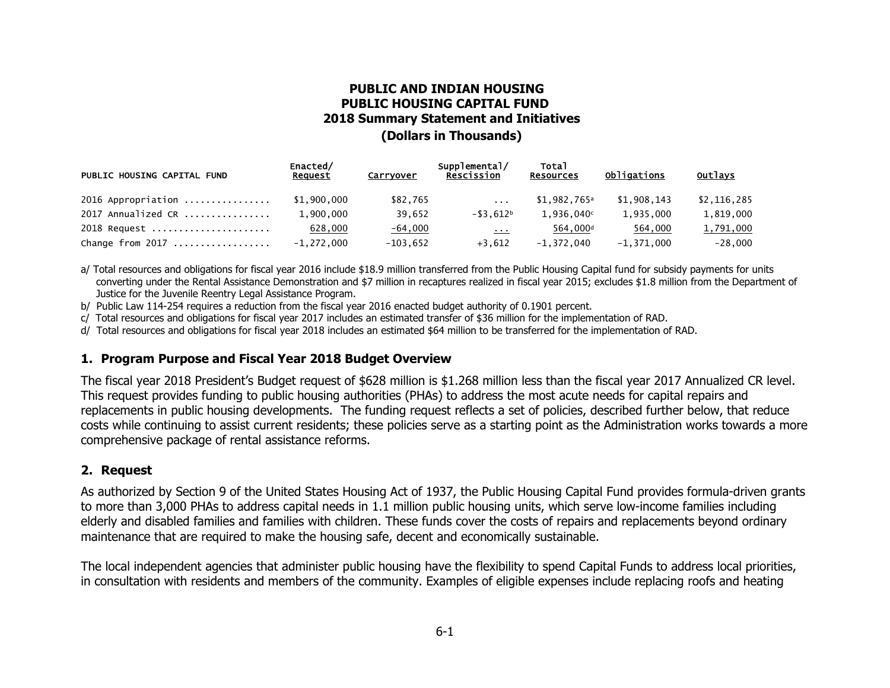# **PUBLIC AND INDIAN HOUSING PUBLIC HOUSING CAPITAL FUND 2018 Summary Statement and Initiatives (Dollars in Thousands)**

| PUBLIC HOUSING CAPITAL FUND | Enacted/<br>Request | Carryover  | Supplemental/<br><b>Rescission</b>         | Total<br><b>Resources</b> | Obligations  | <b>Outlays</b> |
|-----------------------------|---------------------|------------|--------------------------------------------|---------------------------|--------------|----------------|
| $2016$ Appropriation        | \$1,900,000         | \$82,765   | $\sim$ $\sim$ $\sim$                       | $$1,982,765$ <sup>a</sup> | \$1,908,143  | \$2,116,285    |
| 2017 Annualized CR          | 1.900.000           | 39.652     | $-$ \$3.612b                               | 1.936.040c                | 1.935.000    | 1,819,000      |
| 2018 Request                | 628,000             | $-64,000$  | $\mathbf{z}$ , $\mathbf{z}$ , $\mathbf{z}$ | 564,000 <sup>d</sup>      | 564,000      | 1,791,000      |
| Change from 2017            | $-1,272,000$        | $-103.652$ | $+3.612$                                   | $-1.372.040$              | $-1,371,000$ | $-28.000$      |

a/ Total resources and obligations for fiscal year 2016 include \$18.9 million transferred from the Public Housing Capital fund for subsidy payments for units converting under the Rental Assistance Demonstration and \$7 million in recaptures realized in fiscal year 2015; excludes \$1.8 million from the Department of Justice for the Juvenile Reentry Legal Assistance Program.

b/ Public Law 114-254 requires a reduction from the fiscal year 2016 enacted budget authority of 0.1901 percent.

c/ Total resources and obligations for fiscal year 2017 includes an estimated transfer of \$36 million for the implementation of RAD.

d/ Total resources and obligations for fiscal year 2018 includes an estimated \$64 million to be transferred for the implementation of RAD.

#### **1. Program Purpose and Fiscal Year 2018 Budget Overview**

The fiscal year 2018 President's Budget request of \$628 million is \$1.268 million less than the fiscal year 2017 Annualized CR level. This request provides funding to public housing authorities (PHAs) to address the most acute needs for capital repairs and replacements in public housing developments. The funding request reflects a set of policies, described further below, that reduce costs while continuing to assist current residents; these policies serve as a starting point as the Administration works towards a more comprehensive package of rental assistance reforms.

### **2. Request**

As authorized by Section 9 of the United States Housing Act of 1937, the Public Housing Capital Fund provides formula-driven grants to more than 3,000 PHAs to address capital needs in 1.1 million public housing units, which serve low-income families including elderly and disabled families and families with children. These funds cover the costs of repairs and replacements beyond ordinary maintenance that are required to make the housing safe, decent and economically sustainable.

The local independent agencies that administer public housing have the flexibility to spend Capital Funds to address local priorities, in consultation with residents and members of the community. Examples of eligible expenses include replacing roofs and heating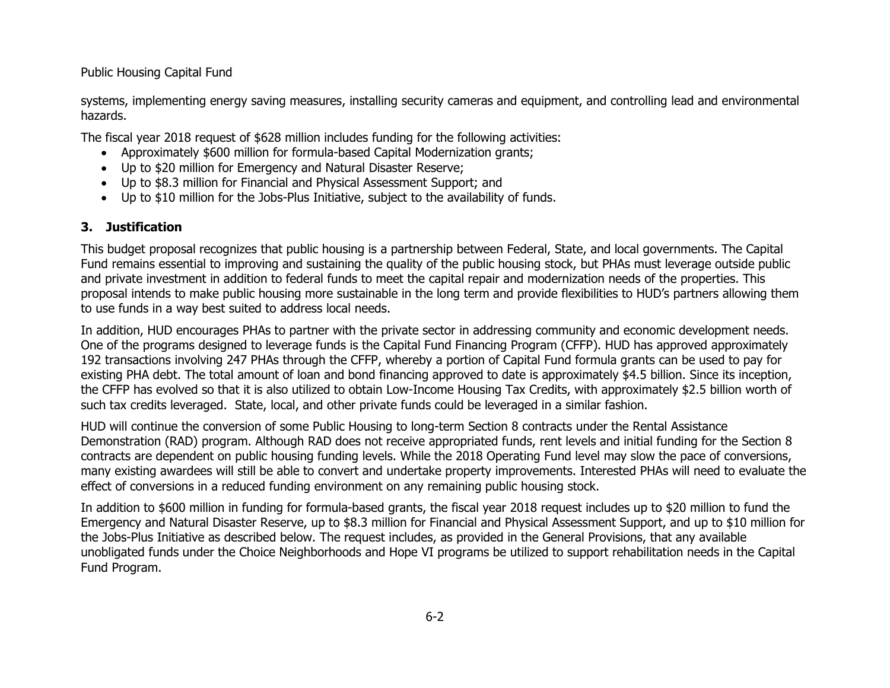Public Housing Capital Fund

systems, implementing energy saving measures, installing security cameras and equipment, and controlling lead and environmental hazards.

The fiscal year 2018 request of \$628 million includes funding for the following activities:

- Approximately \$600 million for formula-based Capital Modernization grants;
- Up to \$20 million for Emergency and Natural Disaster Reserve;
- Up to \$8.3 million for Financial and Physical Assessment Support; and
- Up to \$10 million for the Jobs-Plus Initiative, subject to the availability of funds.

## **3. Justification**

This budget proposal recognizes that public housing is a partnership between Federal, State, and local governments. The Capital Fund remains essential to improving and sustaining the quality of the public housing stock, but PHAs must leverage outside public and private investment in addition to federal funds to meet the capital repair and modernization needs of the properties. This proposal intends to make public housing more sustainable in the long term and provide flexibilities to HUD's partners allowing them to use funds in a way best suited to address local needs.

In addition, HUD encourages PHAs to partner with the private sector in addressing community and economic development needs. One of the programs designed to leverage funds is the Capital Fund Financing Program (CFFP). HUD has approved approximately 192 transactions involving 247 PHAs through the CFFP, whereby a portion of Capital Fund formula grants can be used to pay for existing PHA debt. The total amount of loan and bond financing approved to date is approximately \$4.5 billion. Since its inception, the CFFP has evolved so that it is also utilized to obtain Low-Income Housing Tax Credits, with approximately \$2.5 billion worth of such tax credits leveraged. State, local, and other private funds could be leveraged in a similar fashion.

HUD will continue the conversion of some Public Housing to long-term Section 8 contracts under the Rental Assistance Demonstration (RAD) program. Although RAD does not receive appropriated funds, rent levels and initial funding for the Section 8 contracts are dependent on public housing funding levels. While the 2018 Operating Fund level may slow the pace of conversions, many existing awardees will still be able to convert and undertake property improvements. Interested PHAs will need to evaluate the effect of conversions in a reduced funding environment on any remaining public housing stock.

In addition to \$600 million in funding for formula-based grants, the fiscal year 2018 request includes up to \$20 million to fund the Emergency and Natural Disaster Reserve, up to \$8.3 million for Financial and Physical Assessment Support, and up to \$10 million for the Jobs-Plus Initiative as described below. The request includes, as provided in the General Provisions, that any available unobligated funds under the Choice Neighborhoods and Hope VI programs be utilized to support rehabilitation needs in the Capital Fund Program.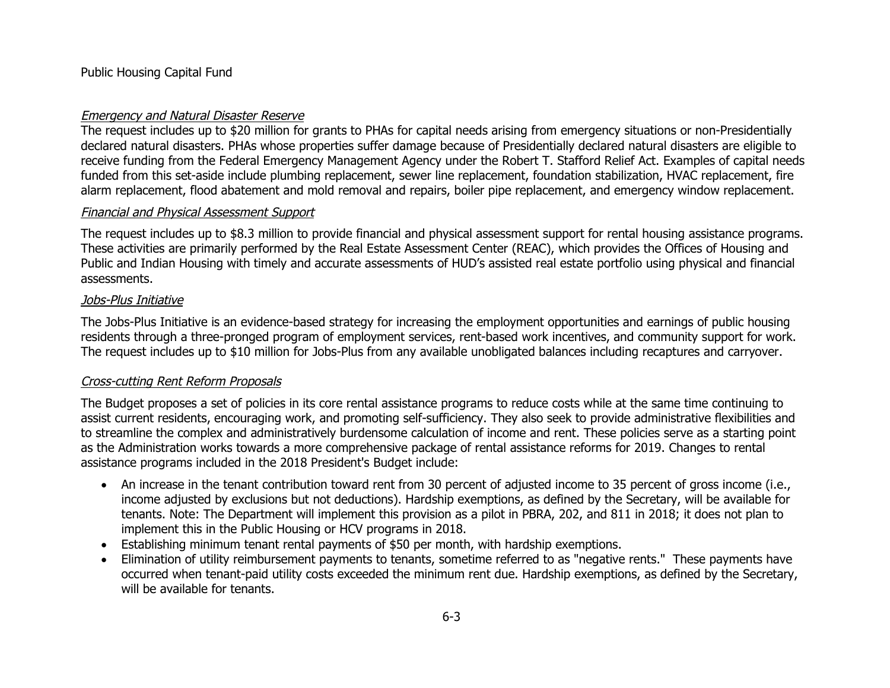Public Housing Capital Fund

### Emergency and Natural Disaster Reserve

The request includes up to \$20 million for grants to PHAs for capital needs arising from emergency situations or non-Presidentially declared natural disasters. PHAs whose properties suffer damage because of Presidentially declared natural disasters are eligible to receive funding from the Federal Emergency Management Agency under the Robert T. Stafford Relief Act. Examples of capital needs funded from this set-aside include plumbing replacement, sewer line replacement, foundation stabilization, HVAC replacement, fire alarm replacement, flood abatement and mold removal and repairs, boiler pipe replacement, and emergency window replacement.

### Financial and Physical Assessment Support

The request includes up to \$8.3 million to provide financial and physical assessment support for rental housing assistance programs. These activities are primarily performed by the Real Estate Assessment Center (REAC), which provides the Offices of Housing and Public and Indian Housing with timely and accurate assessments of HUD's assisted real estate portfolio using physical and financial assessments.

#### Jobs-Plus Initiative

The Jobs-Plus Initiative is an evidence-based strategy for increasing the employment opportunities and earnings of public housing residents through a three-pronged program of employment services, rent-based work incentives, and community support for work. The request includes up to \$10 million for Jobs-Plus from any available unobligated balances including recaptures and carryover.

### Cross-cutting Rent Reform Proposals

The Budget proposes a set of policies in its core rental assistance programs to reduce costs while at the same time continuing to assist current residents, encouraging work, and promoting self-sufficiency. They also seek to provide administrative flexibilities and to streamline the complex and administratively burdensome calculation of income and rent. These policies serve as a starting point as the Administration works towards a more comprehensive package of rental assistance reforms for 2019. Changes to rental assistance programs included in the 2018 President's Budget include:

- An increase in the tenant contribution toward rent from 30 percent of adjusted income to 35 percent of gross income (i.e., income adjusted by exclusions but not deductions). Hardship exemptions, as defined by the Secretary, will be available for tenants. Note: The Department will implement this provision as a pilot in PBRA, 202, and 811 in 2018; it does not plan to implement this in the Public Housing or HCV programs in 2018.
- Establishing minimum tenant rental payments of \$50 per month, with hardship exemptions.
- Elimination of utility reimbursement payments to tenants, sometime referred to as "negative rents." These payments have occurred when tenant-paid utility costs exceeded the minimum rent due. Hardship exemptions, as defined by the Secretary, will be available for tenants.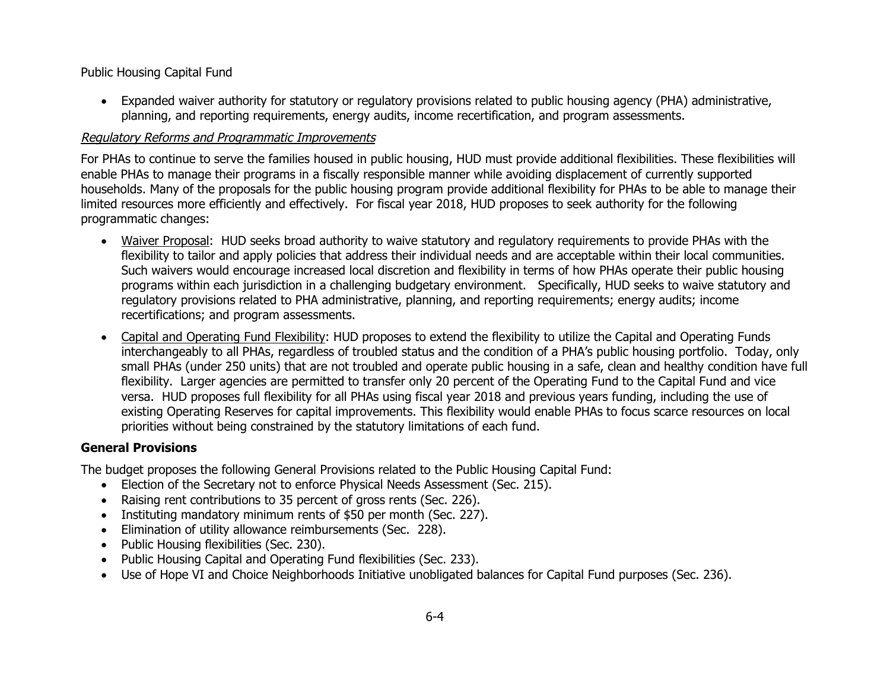Public Housing Capital Fund

• Expanded waiver authority for statutory or regulatory provisions related to public housing agency (PHA) administrative, planning, and reporting requirements, energy audits, income recertification, and program assessments.

# Regulatory Reforms and Programmatic Improvements

For PHAs to continue to serve the families housed in public housing, HUD must provide additional flexibilities. These flexibilities will enable PHAs to manage their programs in a fiscally responsible manner while avoiding displacement of currently supported households. Many of the proposals for the public housing program provide additional flexibility for PHAs to be able to manage their limited resources more efficiently and effectively. For fiscal year 2018, HUD proposes to seek authority for the following programmatic changes:

- Waiver Proposal: HUD seeks broad authority to waive statutory and regulatory requirements to provide PHAs with the flexibility to tailor and apply policies that address their individual needs and are acceptable within their local communities. Such waivers would encourage increased local discretion and flexibility in terms of how PHAs operate their public housing programs within each jurisdiction in a challenging budgetary environment. Specifically, HUD seeks to waive statutory and regulatory provisions related to PHA administrative, planning, and reporting requirements; energy audits; income recertifications; and program assessments.
- Capital and Operating Fund Flexibility: HUD proposes to extend the flexibility to utilize the Capital and Operating Funds interchangeably to all PHAs, regardless of troubled status and the condition of a PHA's public housing portfolio. Today, only small PHAs (under 250 units) that are not troubled and operate public housing in a safe, clean and healthy condition have full flexibility. Larger agencies are permitted to transfer only 20 percent of the Operating Fund to the Capital Fund and vice versa. HUD proposes full flexibility for all PHAs using fiscal year 2018 and previous years funding, including the use of existing Operating Reserves for capital improvements. This flexibility would enable PHAs to focus scarce resources on local priorities without being constrained by the statutory limitations of each fund.

### **General Provisions**

The budget proposes the following General Provisions related to the Public Housing Capital Fund:

- Election of the Secretary not to enforce Physical Needs Assessment (Sec. 215).
- Raising rent contributions to 35 percent of gross rents (Sec. 226).
- Instituting mandatory minimum rents of \$50 per month (Sec. 227).
- Elimination of utility allowance reimbursements (Sec. 228).
- Public Housing flexibilities (Sec. 230).
- Public Housing Capital and Operating Fund flexibilities (Sec. 233).
- Use of Hope VI and Choice Neighborhoods Initiative unobligated balances for Capital Fund purposes (Sec. 236).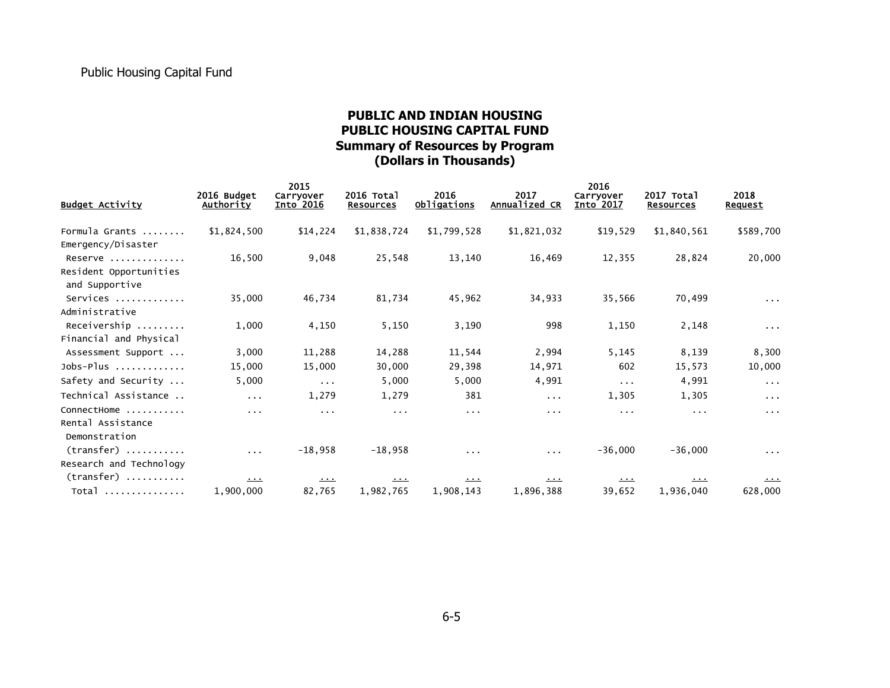# **PUBLIC AND INDIAN HOUSING PUBLIC HOUSING CAPITAL FUND Summary of Resources by Program (Dollars in Thousands)**

|                                                     | 2016 Budget             | 2015<br>Carryover                                              | 2016 Total       | 2016                 | 2017          | 2016<br>Carryover    | 2017 Total            | 2018                    |
|-----------------------------------------------------|-------------------------|----------------------------------------------------------------|------------------|----------------------|---------------|----------------------|-----------------------|-------------------------|
| <b>Budget Activity</b>                              | Authority               | Into 2016                                                      | <b>Resources</b> | <u>Obligations</u>   | Annualized CR | Into 2017            | <b>Resources</b>      | <b>Request</b>          |
| Formula Grants<br>Emergency/Disaster                | \$1,824,500             | \$14,224                                                       | \$1,838,724      | \$1,799,528          | \$1,821,032   | \$19,529             | \$1,840,561           | \$589,700               |
| Reserve<br>Resident Opportunities<br>and Supportive | 16,500                  | 9,048                                                          | 25,548           | 13,140               | 16,469        | 12,355               | 28,824                | 20,000                  |
| Services<br>Administrative                          | 35,000                  | 46,734                                                         | 81,734           | 45,962               | 34,933        | 35,566               | 70,499                | $\sim 100$ km s $^{-1}$ |
| Receivership<br>Financial and Physical              | 1,000                   | 4,150                                                          | 5,150            | 3,190                | 998           | 1,150                | 2,148                 | $\sim 100$              |
| Assessment Support                                  | 3,000                   | 11,288                                                         | 14,288           | 11,544               | 2,994         | 5,145                | 8,139                 | 8,300                   |
| $Jobs-Plus$                                         | 15,000                  | 15,000                                                         | 30,000           | 29,398               | 14,971        | 602                  | 15,573                | 10,000                  |
| Safety and Security                                 | 5,000                   | $\sim 100$                                                     | 5,000            | 5,000                | 4,991         | $\sim 100$           | 4,991                 | $\sim 100$              |
| Technical Assistance                                | $\sim 100$ km s $^{-1}$ | 1,279                                                          | 1,279            | 381                  | $\sim 100$    | 1,305                | 1,305                 | $\sim 100$ km s $^{-1}$ |
| ConnectHome<br>Rental Assistance<br>Demonstration   | $\sim 100$              | $\sim 100$                                                     | $\sim 100$       | $\sim$ $\sim$ $\sim$ | $\sim 100$    | $\sim$ $\sim$ $\sim$ | $\sim 100$ km $^{-1}$ | $\sim 100$              |
| $(transfer)$<br>Research and Technology             | $\sim 100$              | $-18,958$                                                      | $-18,958$        | $\cdots$             | $\sim 100$    | $-36,000$            | $-36,000$             | $\sim 100$              |
| $(transfer)$                                        | $\Delta\sim 0.01$       | $\begin{array}{c} \bullet \bullet \bullet \bullet \end{array}$ | 1.1.1            | $\cdots$             | المستعمل      | المستقبل             | <u>.</u>              | المستنقل                |
| Total                                               | 1,900,000               | 82,765                                                         | 1,982,765        | 1,908,143            | 1,896,388     | 39,652               | 1,936,040             | 628,000                 |